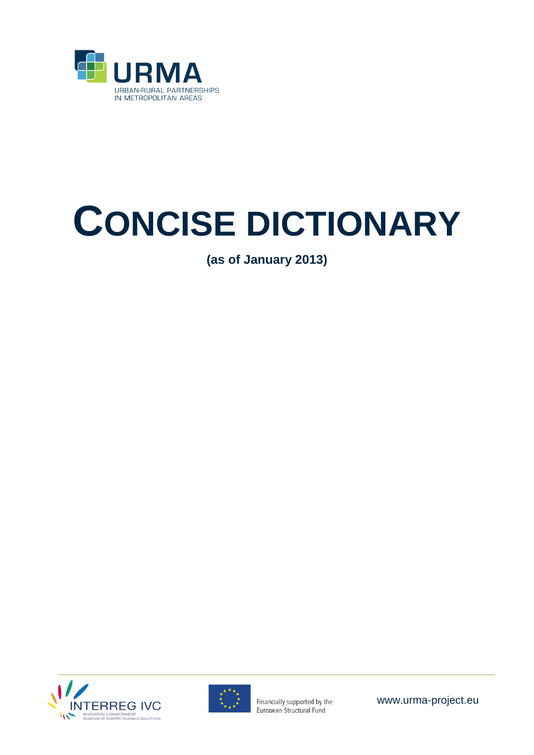

# **CONCISE DICTIONARY**

**(as of January 2013)**





Financially supported by the European Structural Fund

www.urma-project.eu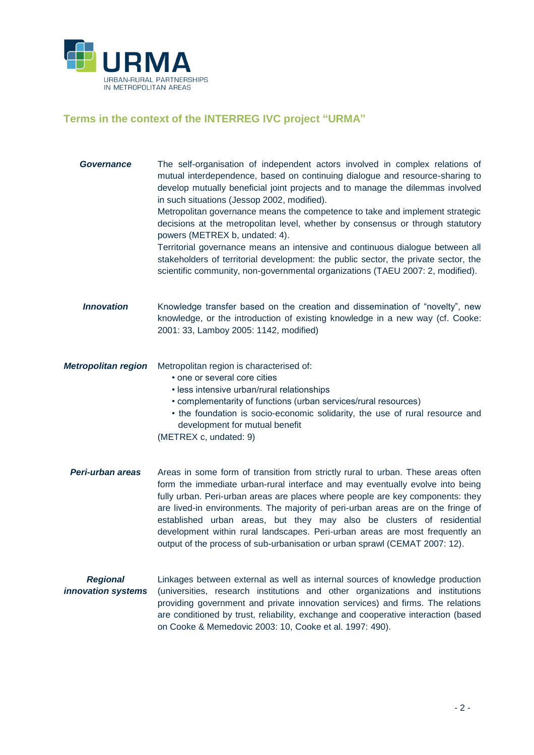

# **Terms in the context of the INTERREG IVC project "URMA"**

| Governance                            | The self-organisation of independent actors involved in complex relations of<br>mutual interdependence, based on continuing dialogue and resource-sharing to<br>develop mutually beneficial joint projects and to manage the dilemmas involved<br>in such situations (Jessop 2002, modified).<br>Metropolitan governance means the competence to take and implement strategic<br>decisions at the metropolitan level, whether by consensus or through statutory<br>powers (METREX b, undated: 4).<br>Territorial governance means an intensive and continuous dialogue between all<br>stakeholders of territorial development: the public sector, the private sector, the<br>scientific community, non-governmental organizations (TAEU 2007: 2, modified). |
|---------------------------------------|-------------------------------------------------------------------------------------------------------------------------------------------------------------------------------------------------------------------------------------------------------------------------------------------------------------------------------------------------------------------------------------------------------------------------------------------------------------------------------------------------------------------------------------------------------------------------------------------------------------------------------------------------------------------------------------------------------------------------------------------------------------|
| <b>Innovation</b>                     | Knowledge transfer based on the creation and dissemination of "novelty", new<br>knowledge, or the introduction of existing knowledge in a new way (cf. Cooke:<br>2001: 33, Lamboy 2005: 1142, modified)                                                                                                                                                                                                                                                                                                                                                                                                                                                                                                                                                     |
| <b>Metropolitan region</b>            | Metropolitan region is characterised of:<br>• one or several core cities<br>· less intensive urban/rural relationships<br>• complementarity of functions (urban services/rural resources)<br>• the foundation is socio-economic solidarity, the use of rural resource and<br>development for mutual benefit<br>(METREX c, undated: 9)                                                                                                                                                                                                                                                                                                                                                                                                                       |
| Peri-urban areas                      | Areas in some form of transition from strictly rural to urban. These areas often<br>form the immediate urban-rural interface and may eventually evolve into being<br>fully urban. Peri-urban areas are places where people are key components: they<br>are lived-in environments. The majority of peri-urban areas are on the fringe of<br>established urban areas, but they may also be clusters of residential<br>development within rural landscapes. Peri-urban areas are most frequently an<br>output of the process of sub-urbanisation or urban sprawl (CEMAT 2007: 12).                                                                                                                                                                             |
| <b>Regional</b><br>innovation systems | Linkages between external as well as internal sources of knowledge production<br>(universities, research institutions and other organizations and institutions<br>providing government and private innovation services) and firms. The relations<br>are conditioned by trust, reliability, exchange and cooperative interaction (based<br>on Cooke & Memedovic 2003: 10, Cooke et al. 1997: 490).                                                                                                                                                                                                                                                                                                                                                           |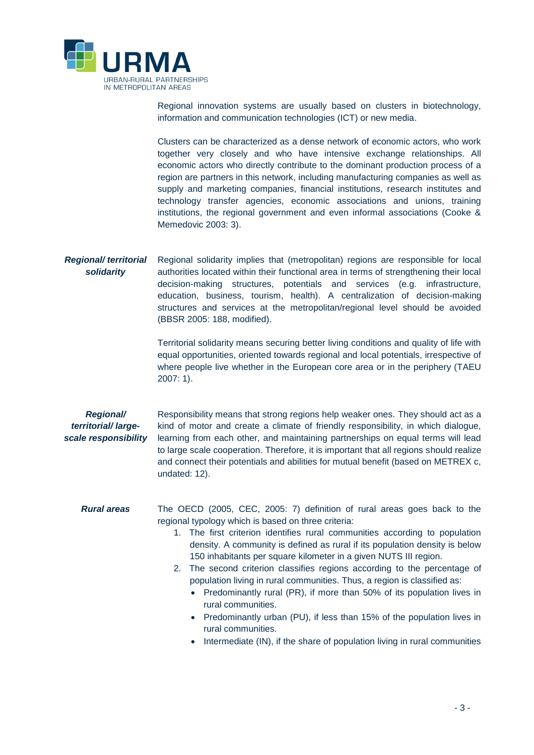

Regional innovation systems are usually based on clusters in biotechnology, information and communication technologies (ICT) or new media.

Clusters can be characterized as a dense network of economic actors, who work together very closely and who have intensive exchange relationships. All economic actors who directly contribute to the dominant production process of a region are partners in this network, including manufacturing companies as well as supply and marketing companies, financial institutions, research institutes and technology transfer agencies, economic associations and unions, training institutions, the regional government and even informal associations (Cooke & Memedovic 2003: 3).

*Regional/ territorial solidarity* Regional solidarity implies that (metropolitan) regions are responsible for local authorities located within their functional area in terms of strengthening their local decision-making structures, potentials and services (e.g. infrastructure, education, business, tourism, health). A centralization of decision-making structures and services at the metropolitan/regional level should be avoided (BBSR 2005: 188, modified).

> Territorial solidarity means securing better living conditions and quality of life with equal opportunities, oriented towards regional and local potentials, irrespective of where people live whether in the European core area or in the periphery (TAEU 2007: 1).

#### *Regional/ territorial/ largescale responsibility*

Responsibility means that strong regions help weaker ones. They should act as a kind of motor and create a climate of friendly responsibility, in which dialogue, learning from each other, and maintaining partnerships on equal terms will lead to large scale cooperation. Therefore, it is important that all regions should realize and connect their potentials and abilities for mutual benefit (based on METREX c, undated: 12).

#### *Rural areas* The OECD (2005, CEC, 2005: 7) definition of rural areas goes back to the regional typology which is based on three criteria:

- 1. The first criterion identifies rural communities according to population density. A community is defined as rural if its population density is below 150 inhabitants per square kilometer in a given NUTS III region.
- 2. The second criterion classifies regions according to the percentage of population living in rural communities. Thus, a region is classified as:
	- Predominantly rural (PR), if more than 50% of its population lives in rural communities.
	- Predominantly urban (PU), if less than 15% of the population lives in rural communities.
	- $\bullet$  Intermediate (IN), if the share of population living in rural communities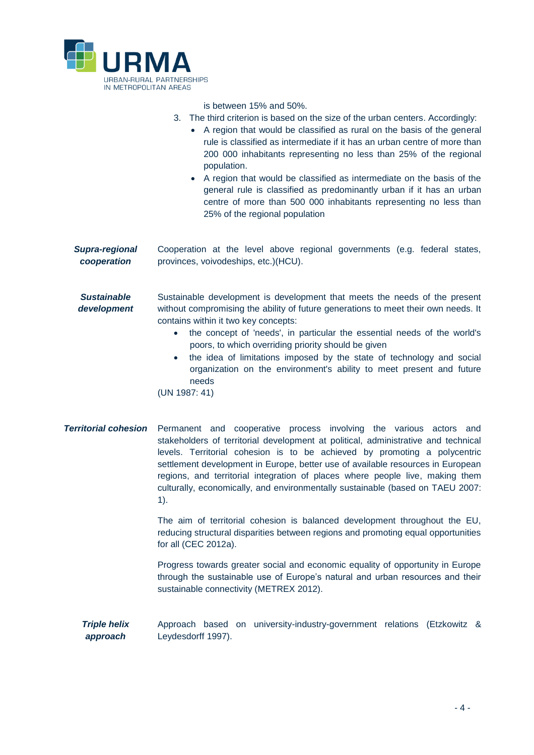

is between 15% and 50%.

- 3. The third criterion is based on the size of the urban centers. Accordingly:
	- A region that would be classified as rural on the basis of the general rule is classified as intermediate if it has an urban centre of more than 200 000 inhabitants representing no less than 25% of the regional population.
	- A region that would be classified as intermediate on the basis of the general rule is classified as predominantly urban if it has an urban centre of more than 500 000 inhabitants representing no less than 25% of the regional population

*Supra-regional cooperation* Cooperation at the level above regional governments (e.g. federal states, provinces, voivodeships, etc.)(HCU).

*Sustainable development* Sustainable development is development that meets the needs of the present without compromising the ability of future generations to meet their own needs. It contains within it two key concepts:

- the concept of 'needs', in particular the essential needs of the world's poors, to which overriding priority should be given
- the idea of limitations imposed by the state of technology and social organization on the environment's ability to meet present and future needs

(UN 1987: 41)

*Territorial cohesion* Permanent and cooperative process involving the various actors and stakeholders of territorial development at political, administrative and technical levels. Territorial cohesion is to be achieved by promoting a polycentric settlement development in Europe, better use of available resources in European regions, and territorial integration of places where people live, making them culturally, economically, and environmentally sustainable (based on TAEU 2007: 1).

> The aim of territorial cohesion is balanced development throughout the EU, reducing structural disparities between regions and promoting equal opportunities for all (CEC 2012a).

> Progress towards greater social and economic equality of opportunity in Europe through the sustainable use of Europe's natural and urban resources and their sustainable connectivity (METREX 2012).

*Triple helix approach* Approach based on university-industry-government relations (Etzkowitz & Leydesdorff 1997).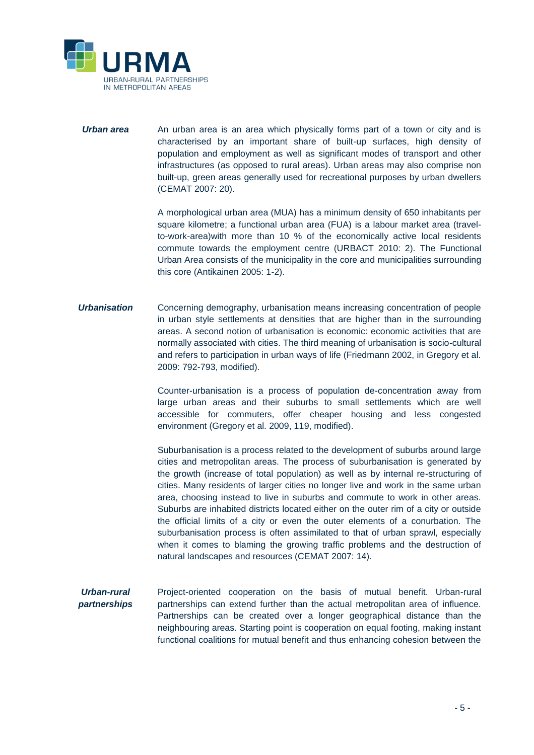

**Urban area** An urban area is an area which physically forms part of a town or city and is characterised by an important share of built-up surfaces, high density of population and employment as well as significant modes of transport and other infrastructures (as opposed to rural areas). Urban areas may also comprise non built-up, green areas generally used for recreational purposes by urban dwellers (CEMAT 2007: 20).

> A morphological urban area (MUA) has a minimum density of 650 inhabitants per square kilometre; a functional urban area (FUA) is a labour market area (travelto-work-area)with more than 10 % of the economically active local residents commute towards the employment centre (URBACT 2010: 2). The Functional Urban Area consists of the municipality in the core and municipalities surrounding this core (Antikainen 2005: 1-2).

*Urbanisation* Concerning demography, urbanisation means increasing concentration of people in urban style settlements at densities that are higher than in the surrounding areas. A second notion of urbanisation is economic: economic activities that are normally associated with cities. The third meaning of urbanisation is socio-cultural and refers to participation in urban ways of life (Friedmann 2002, in Gregory et al. 2009: 792-793, modified).

> Counter-urbanisation is a process of population de-concentration away from large urban areas and their suburbs to small settlements which are well accessible for commuters, offer cheaper housing and less congested environment (Gregory et al. 2009, 119, modified).

> Suburbanisation is a process related to the development of suburbs around large cities and metropolitan areas. The process of suburbanisation is generated by the growth (increase of total population) as well as by internal re-structuring of cities. Many residents of larger cities no longer live and work in the same urban area, choosing instead to live in suburbs and commute to work in other areas. Suburbs are inhabited districts located either on the outer rim of a city or outside the official limits of a city or even the outer elements of a conurbation. The suburbanisation process is often assimilated to that of urban sprawl, especially when it comes to blaming the growing traffic problems and the destruction of natural landscapes and resources (CEMAT 2007: 14).

*Urban-rural partnerships* Project-oriented cooperation on the basis of mutual benefit. Urban-rural partnerships can extend further than the actual metropolitan area of influence. Partnerships can be created over a longer geographical distance than the neighbouring areas. Starting point is cooperation on equal footing, making instant functional coalitions for mutual benefit and thus enhancing cohesion between the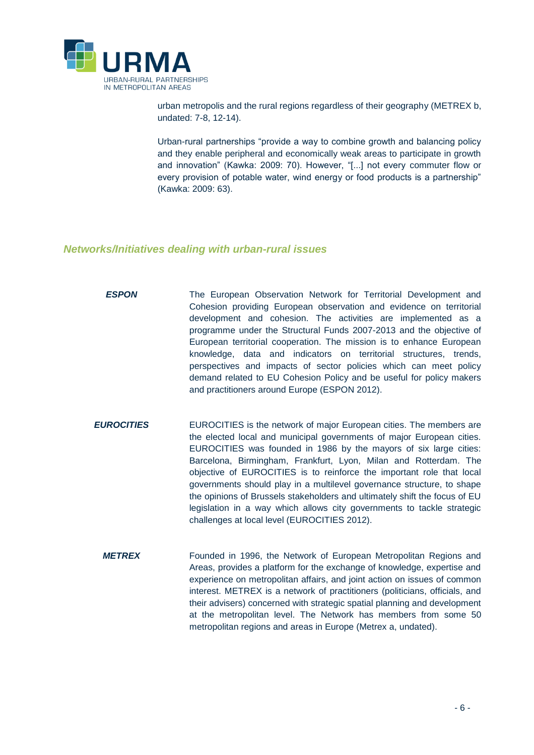

urban metropolis and the rural regions regardless of their geography (METREX b, undated: 7-8, 12-14).

Urban-rural partnerships "provide a way to combine growth and balancing policy and they enable peripheral and economically weak areas to participate in growth and innovation" (Kawka: 2009: 70). However, "[...] not every commuter flow or every provision of potable water, wind energy or food products is a partnership" (Kawka: 2009: 63).

#### *Networks/Initiatives dealing with urban-rural issues*

- **ESPON** The European Observation Network for Territorial Development and Cohesion providing European observation and evidence on territorial development and cohesion. The activities are implemented as a programme under the Structural Funds 2007-2013 and the objective of European territorial cooperation. The mission is to enhance European knowledge, data and indicators on territorial structures, trends, perspectives and impacts of sector policies which can meet policy demand related to EU Cohesion Policy and be useful for policy makers and practitioners around Europe (ESPON 2012).
- **EUROCITIES** EUROCITIES is the network of major European cities. The members are the elected local and municipal governments of major European cities. EUROCITIES was founded in 1986 by the mayors of six large cities: Barcelona, Birmingham, Frankfurt, Lyon, Milan and Rotterdam. The objective of EUROCITIES is to reinforce the important role that local governments should play in a multilevel governance structure, to shape the opinions of Brussels stakeholders and ultimately shift the focus of EU legislation in a way which allows city governments to tackle strategic challenges at local level (EUROCITIES 2012).
	- *METREX* Founded in 1996, the Network of European Metropolitan Regions and Areas, provides a platform for the exchange of knowledge, expertise and experience on metropolitan affairs, and joint action on issues of common interest. METREX is a network of practitioners (politicians, officials, and their advisers) concerned with strategic spatial planning and development at the metropolitan level. The Network has members from some 50 metropolitan regions and areas in Europe (Metrex a, undated).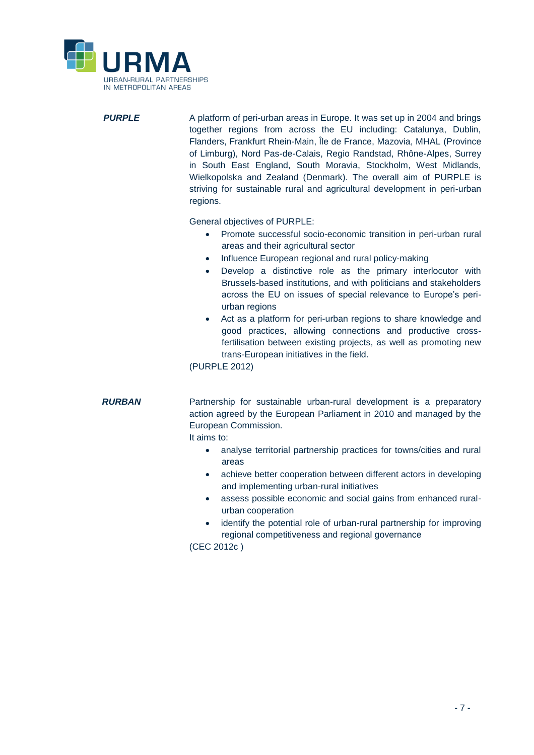

**PURPLE** A platform of peri-urban areas in Europe. It was set up in 2004 and brings together regions from across the EU including: Catalunya, Dublin, Flanders, Frankfurt Rhein-Main, Île de France, Mazovia, MHAL (Province of Limburg), Nord Pas-de-Calais, Regio Randstad, Rhône-Alpes, Surrey in South East England, South Moravia, Stockholm, West Midlands, Wielkopolska and Zealand (Denmark). The overall aim of PURPLE is striving for sustainable rural and agricultural development in peri-urban regions.

General objectives of PURPLE:

- Promote successful socio-economic transition in peri-urban rural areas and their agricultural sector
- Influence European regional and rural policy-making
- Develop a distinctive role as the primary interlocutor with Brussels-based institutions, and with politicians and stakeholders across the EU on issues of special relevance to Europe's periurban regions
- Act as a platform for peri-urban regions to share knowledge and good practices, allowing connections and productive crossfertilisation between existing projects, as well as promoting new trans-European initiatives in the field.

(PURPLE 2012)

*RURBAN* Partnership for sustainable urban-rural development is a preparatory action agreed by the European Parliament in 2010 and managed by the European Commission.

It aims to:

- analyse territorial partnership practices for towns/cities and rural areas
- achieve better cooperation between different actors in developing and implementing urban-rural initiatives
- assess possible economic and social gains from enhanced ruralurban cooperation
- identify the potential role of urban-rural partnership for improving regional competitiveness and regional governance

(CEC 2012c )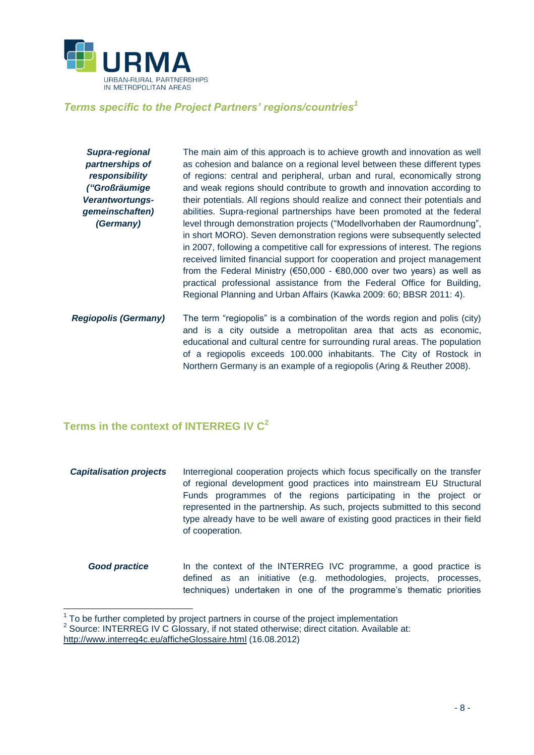

### *Terms specific to the Project Partners' regions/countries<sup>1</sup>*

*Supra-regional partnerships of responsibility ("Großräumige Verantwortungsgemeinschaften) (Germany)* The main aim of this approach is to achieve growth and innovation as well as cohesion and balance on a regional level between these different types of regions: central and peripheral, urban and rural, economically strong and weak regions should contribute to growth and innovation according to their potentials. All regions should realize and connect their potentials and abilities. Supra-regional partnerships have been promoted at the federal level through demonstration projects ("Modellvorhaben der Raumordnung", in short MORO). Seven demonstration regions were subsequently selected in 2007, following a competitive call for expressions of interest. The regions received limited financial support for cooperation and project management from the Federal Ministry (€50,000 - €80,000 over two years) as well as practical professional assistance from the Federal Office for Building, Regional Planning and Urban Affairs (Kawka 2009: 60; BBSR 2011: 4). *Regiopolis (Germany)* The term "regiopolis" is a combination of the words region and polis (city) and is a city outside a metropolitan area that acts as economic, educational and cultural centre for surrounding rural areas. The population of a regiopolis exceeds 100.000 inhabitants. The City of Rostock in

Northern Germany is an example of a regiopolis (Aring & Reuther 2008).

## **Terms in the context of INTERREG IV C<sup>2</sup>**

- *Capitalisation projects* Interregional cooperation projects which focus specifically on the transfer of regional development good practices into mainstream EU Structural Funds programmes of the regions participating in the project or represented in the partnership. As such, projects submitted to this second type already have to be well aware of existing good practices in their field of cooperation.
	- **Good practice** In the context of the INTERREG IVC programme, a good practice is defined as an initiative (e.g. methodologies, projects, processes, techniques) undertaken in one of the programme's thematic priorities

 $\overline{a}$ 

 $1$  To be further completed by project partners in course of the project implementation

 $2$  Source: INTERREG IV C Glossary, if not stated otherwise; direct citation. Available at:

<http://www.interreg4c.eu/afficheGlossaire.html> (16.08.2012)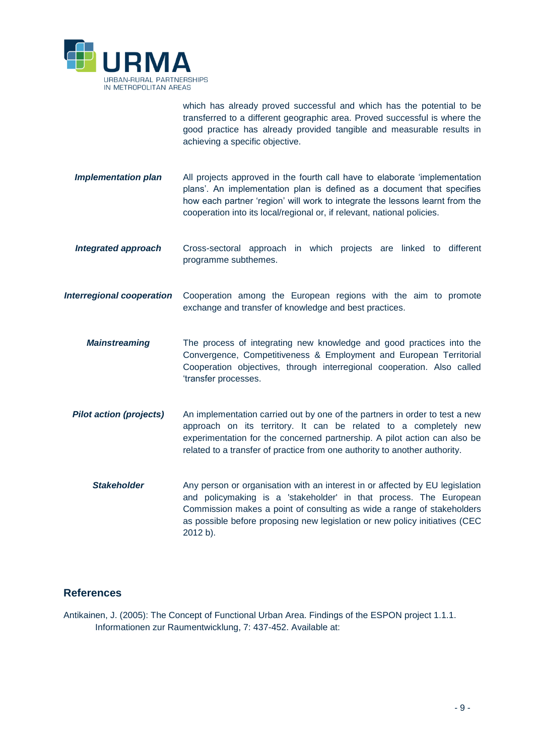

which has already proved successful and which has the potential to be transferred to a different geographic area. Proved successful is where the good practice has already provided tangible and measurable results in achieving a specific objective.

- **Implementation plan** All projects approved in the fourth call have to elaborate 'implementation plans'. An implementation plan is defined as a document that specifies how each partner 'region' will work to integrate the lessons learnt from the cooperation into its local/regional or, if relevant, national policies.
- *Integrated approach* Cross-sectoral approach in which projects are linked to different programme subthemes.
- *Interregional cooperation* Cooperation among the European regions with the aim to promote exchange and transfer of knowledge and best practices.
	- *Mainstreaming* The process of integrating new knowledge and good practices into the Convergence, Competitiveness & Employment and European Territorial Cooperation objectives, through interregional cooperation. Also called 'transfer processes.
	- **Pilot action (projects)** An implementation carried out by one of the partners in order to test a new approach on its territory. It can be related to a completely new experimentation for the concerned partnership. A pilot action can also be related to a transfer of practice from one authority to another authority.
		- **Stakeholder** Any person or organisation with an interest in or affected by EU legislation and policymaking is a 'stakeholder' in that process. The European Commission makes a point of consulting as wide a range of stakeholders as possible before proposing new legislation or new policy initiatives (CEC 2012 b).

#### **References**

Antikainen, J. (2005): The Concept of Functional Urban Area. Findings of the ESPON project 1.1.1. Informationen zur Raumentwicklung, 7: 437-452. Available at: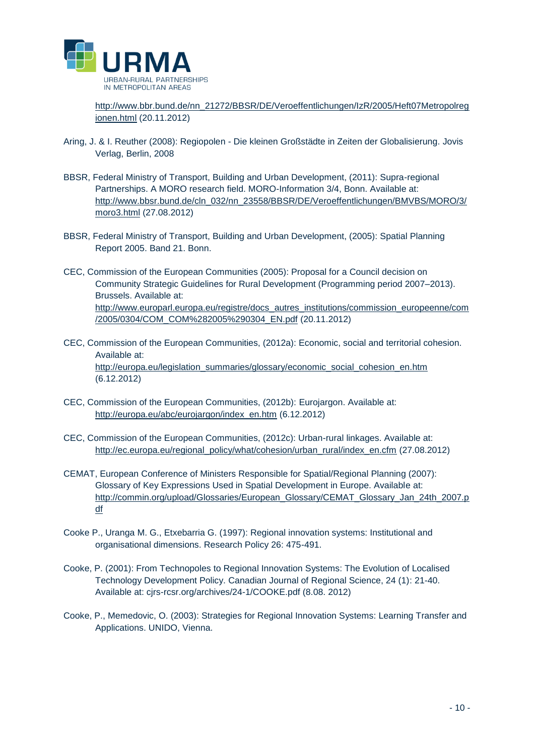

[http://www.bbr.bund.de/nn\\_21272/BBSR/DE/Veroeffentlichungen/IzR/2005/Heft07Metropolreg](http://www.bbr.bund.de/nn_21272/BBSR/DE/Veroeffentlichungen/IzR/2005/Heft07Metropolregionen.html) [ionen.html](http://www.bbr.bund.de/nn_21272/BBSR/DE/Veroeffentlichungen/IzR/2005/Heft07Metropolregionen.html) (20.11.2012)

- Aring, J. & I. Reuther (2008): Regiopolen Die kleinen Großstädte in Zeiten der Globalisierung. Jovis Verlag, Berlin, 2008
- BBSR, Federal Ministry of Transport, Building and Urban Development, (2011): Supra-regional Partnerships. A MORO research field. MORO-Information 3/4, Bonn. Available at: [http://www.bbsr.bund.de/cln\\_032/nn\\_23558/BBSR/DE/Veroeffentlichungen/BMVBS/MORO/3/](http://www.bbsr.bund.de/cln_032/nn_23558/BBSR/DE/Veroeffentlichungen/BMVBS/MORO/3/moro3.html) [moro3.html](http://www.bbsr.bund.de/cln_032/nn_23558/BBSR/DE/Veroeffentlichungen/BMVBS/MORO/3/moro3.html) (27.08.2012)
- BBSR, Federal Ministry of Transport, Building and Urban Development, (2005): Spatial Planning Report 2005. Band 21. Bonn.
- CEC, Commission of the European Communities (2005): Proposal for a Council decision on Community Strategic Guidelines for Rural Development (Programming period 2007–2013). Brussels. Available at: [http://www.europarl.europa.eu/registre/docs\\_autres\\_institutions/commission\\_europeenne/com](http://www.europarl.europa.eu/registre/docs_autres_institutions/commission_europeenne/com/2005/0304/COM_COM%282005%290304_EN.pdf) [/2005/0304/COM\\_COM%282005%290304\\_EN.pdf](http://www.europarl.europa.eu/registre/docs_autres_institutions/commission_europeenne/com/2005/0304/COM_COM%282005%290304_EN.pdf) (20.11.2012)
- CEC, Commission of the European Communities, (2012a): Economic, social and territorial cohesion. Available at: [http://europa.eu/legislation\\_summaries/glossary/economic\\_social\\_cohesion\\_en.htm](http://europa.eu/legislation_summaries/glossary/economic_social_cohesion_en.htm) (6.12.2012)
- CEC, Commission of the European Communities, (2012b): Eurojargon. Available at: [http://europa.eu/abc/eurojargon/index\\_en.htm](http://europa.eu/abc/eurojargon/index_en.htm) (6.12.2012)
- CEC, Commission of the European Communities, (2012c): Urban-rural linkages. Available at: [http://ec.europa.eu/regional\\_policy/what/cohesion/urban\\_rural/index\\_en.cfm](http://ec.europa.eu/regional_policy/what/cohesion/urban_rural/index_en.cfm) (27.08.2012)
- CEMAT, European Conference of Ministers Responsible for Spatial/Regional Planning (2007): Glossary of Key Expressions Used in Spatial Development in Europe. Available at: [http://commin.org/upload/Glossaries/European\\_Glossary/CEMAT\\_Glossary\\_Jan\\_24th\\_2007.p](http://commin.org/upload/Glossaries/European_Glossary/CEMAT_Glossary_Jan_24th_2007.pdf) [df](http://commin.org/upload/Glossaries/European_Glossary/CEMAT_Glossary_Jan_24th_2007.pdf)
- Cooke P., Uranga M. G., Etxebarria G. (1997): Regional innovation systems: Institutional and organisational dimensions. Research Policy 26: 475-491.
- Cooke, P. (2001): From Technopoles to Regional Innovation Systems: The Evolution of Localised Technology Development Policy. Canadian Journal of Regional Science, 24 (1): 21-40. Available at: cjrs-rcsr.org/archives/24-1/COOKE.pdf (8.08. 2012)
- Cooke, P., Memedovic, O. (2003): Strategies for Regional Innovation Systems: Learning Transfer and Applications. UNIDO, Vienna.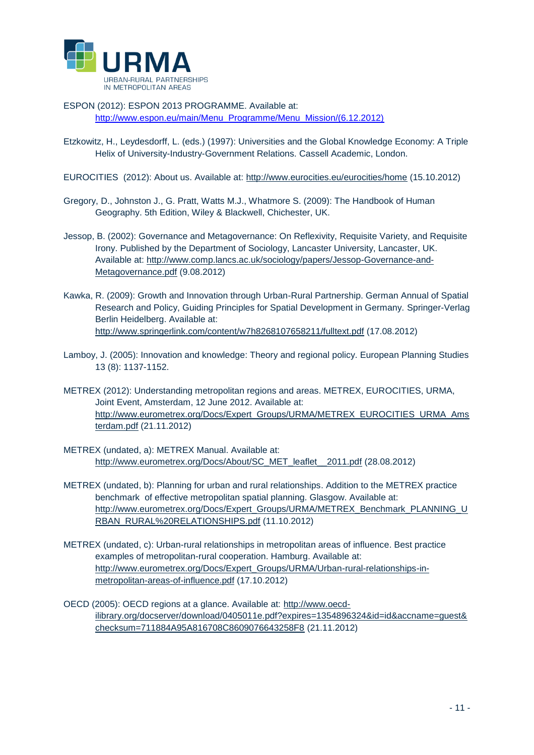

ESPON (2012): ESPON 2013 PROGRAMME. Available at: [http://www.espon.eu/main/Menu\\_Programme/Menu\\_Mission/\(6.12.2012\)](http://www.espon.eu/main/Menu_Programme/Menu_Mission/(6.12.2012))

- Etzkowitz, H., Leydesdorff, L. (eds.) (1997): Universities and the Global Knowledge Economy: A Triple Helix of University-Industry-Government Relations. Cassell Academic, London.
- EUROCITIES (2012): About us. Available at:<http://www.eurocities.eu/eurocities/home> (15.10.2012)
- Gregory, D., Johnston J., G. Pratt, Watts M.J., Whatmore S. (2009): The Handbook of Human Geography. 5th Edition, Wiley & Blackwell, Chichester, UK.
- Jessop, B. (2002): Governance and Metagovernance: On Reflexivity, Requisite Variety, and Requisite Irony. Published by the Department of Sociology, Lancaster University, Lancaster, UK. Available at: [http://www.comp.lancs.ac.uk/sociology/papers/Jessop-Governance-and-](http://www.comp.lancs.ac.uk/sociology/papers/Jessop-Governance-and-%20Metagovernance.pdf)[Metagovernance.pdf](http://www.comp.lancs.ac.uk/sociology/papers/Jessop-Governance-and-%20Metagovernance.pdf) (9.08.2012)
- Kawka, R. (2009): Growth and Innovation through Urban-Rural Partnership. German Annual of Spatial Research and Policy, Guiding Principles for Spatial Development in Germany. Springer-Verlag Berlin Heidelberg. Available at: <http://www.springerlink.com/content/w7h8268107658211/fulltext.pdf> (17.08.2012)
- Lamboy, J. (2005): Innovation and knowledge: Theory and regional policy. European Planning Studies 13 (8): 1137-1152.
- METREX (2012): Understanding metropolitan regions and areas. METREX, EUROCITIES, URMA, Joint Event, Amsterdam, 12 June 2012. Available at: [http://www.eurometrex.org/Docs/Expert\\_Groups/URMA/METREX\\_EUROCITIES\\_URMA\\_Ams](http://www.eurometrex.org/Docs/Expert_Groups/URMA/METREX_EUROCITIES_URMA_Amsterdam.pdf) [terdam.pdf](http://www.eurometrex.org/Docs/Expert_Groups/URMA/METREX_EUROCITIES_URMA_Amsterdam.pdf) (21.11.2012)
- METREX (undated, a): METREX Manual. Available at: [http://www.eurometrex.org/Docs/About/SC\\_MET\\_leaflet\\_\\_2011.pdf](http://www.eurometrex.org/Docs/About/SC_MET_leaflet__2011.pdf) (28.08.2012)
- METREX (undated, b): Planning for urban and rural relationships. Addition to the METREX practice benchmark of effective metropolitan spatial planning. Glasgow. Available at: [http://www.eurometrex.org/Docs/Expert\\_Groups/URMA/METREX\\_Benchmark\\_PLANNING\\_U](http://www.eurometrex.org/Docs/Expert_Groups/URMA/METREX_Benchmark_PLANNING_URBAN_RURAL%20RELATIONSHIPS.pdf) [RBAN\\_RURAL%20RELATIONSHIPS.pdf](http://www.eurometrex.org/Docs/Expert_Groups/URMA/METREX_Benchmark_PLANNING_URBAN_RURAL%20RELATIONSHIPS.pdf) (11.10.2012)
- METREX (undated, c): Urban-rural relationships in metropolitan areas of influence. Best practice examples of metropolitan-rural cooperation. Hamburg. Available at: [http://www.eurometrex.org/Docs/Expert\\_Groups/URMA/Urban-rural-relationships-in](http://www.eurometrex.org/Docs/Expert_Groups/URMA/Urban-rural-relationships-in-metropolitan-areas-of-influence.pdf)[metropolitan-areas-of-influence.pdf](http://www.eurometrex.org/Docs/Expert_Groups/URMA/Urban-rural-relationships-in-metropolitan-areas-of-influence.pdf) (17.10.2012)
- OECD (2005): OECD regions at a glance. Available at: [http://www.oecd](http://www.oecd-ilibrary.org/docserver/download/0405011e.pdf?expires=1354896324&id=id&accname=guest&checksum=711884A95A816708C8609076643258F8)[ilibrary.org/docserver/download/0405011e.pdf?expires=1354896324&id=id&accname=guest&](http://www.oecd-ilibrary.org/docserver/download/0405011e.pdf?expires=1354896324&id=id&accname=guest&checksum=711884A95A816708C8609076643258F8) [checksum=711884A95A816708C8609076643258F8](http://www.oecd-ilibrary.org/docserver/download/0405011e.pdf?expires=1354896324&id=id&accname=guest&checksum=711884A95A816708C8609076643258F8) (21.11.2012)